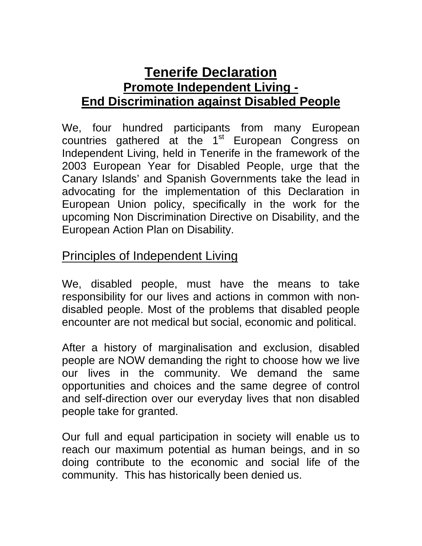## **Tenerife Declaration Promote Independent Living - End Discrimination against Disabled People**

We, four hundred participants from many European countries gathered at the 1<sup>st</sup> European Congress on Independent Living, held in Tenerife in the framework of the 2003 European Year for Disabled People, urge that the Canary Islands' and Spanish Governments take the lead in advocating for the implementation of this Declaration in European Union policy, specifically in the work for the upcoming Non Discrimination Directive on Disability, and the European Action Plan on Disability.

## Principles of Independent Living

We, disabled people, must have the means to take responsibility for our lives and actions in common with nondisabled people. Most of the problems that disabled people encounter are not medical but social, economic and political.

After a history of marginalisation and exclusion, disabled people are NOW demanding the right to choose how we live our lives in the community. We demand the same opportunities and choices and the same degree of control and self-direction over our everyday lives that non disabled people take for granted.

Our full and equal participation in society will enable us to reach our maximum potential as human beings, and in so doing contribute to the economic and social life of the community. This has historically been denied us.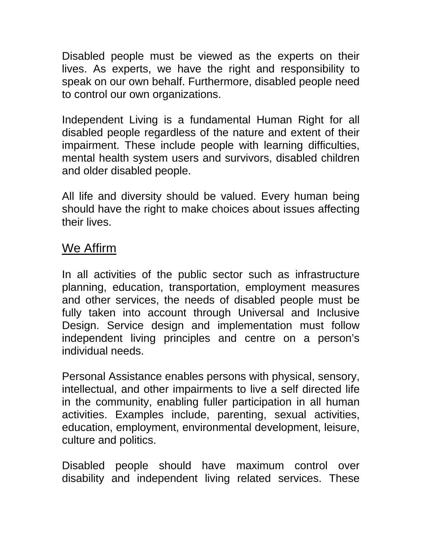Disabled people must be viewed as the experts on their lives. As experts, we have the right and responsibility to speak on our own behalf. Furthermore, disabled people need to control our own organizations.

Independent Living is a fundamental Human Right for all disabled people regardless of the nature and extent of their impairment. These include people with learning difficulties, mental health system users and survivors, disabled children and older disabled people.

All life and diversity should be valued. Every human being should have the right to make choices about issues affecting their lives.

## We Affirm

In all activities of the public sector such as infrastructure planning, education, transportation, employment measures and other services, the needs of disabled people must be fully taken into account through Universal and Inclusive Design. Service design and implementation must follow independent living principles and centre on a person's individual needs.

Personal Assistance enables persons with physical, sensory, intellectual, and other impairments to live a self directed life in the community, enabling fuller participation in all human activities. Examples include, parenting, sexual activities, education, employment, environmental development, leisure, culture and politics.

Disabled people should have maximum control over disability and independent living related services. These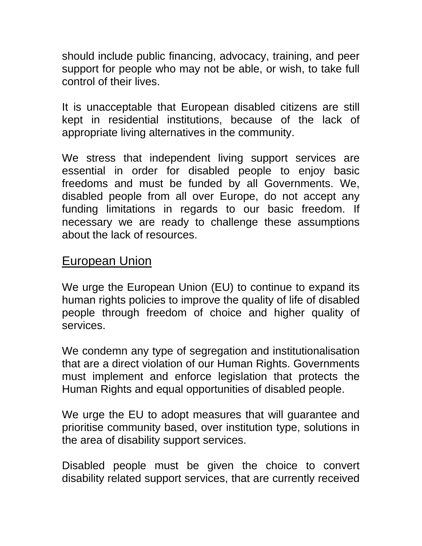should include public financing, advocacy, training, and peer support for people who may not be able, or wish, to take full control of their lives.

It is unacceptable that European disabled citizens are still kept in residential institutions, because of the lack of appropriate living alternatives in the community.

We stress that independent living support services are essential in order for disabled people to enjoy basic freedoms and must be funded by all Governments. We, disabled people from all over Europe, do not accept any funding limitations in regards to our basic freedom. If necessary we are ready to challenge these assumptions about the lack of resources.

## European Union

We urge the European Union (EU) to continue to expand its human rights policies to improve the quality of life of disabled people through freedom of choice and higher quality of services.

We condemn any type of segregation and institutionalisation that are a direct violation of our Human Rights. Governments must implement and enforce legislation that protects the Human Rights and equal opportunities of disabled people.

We urge the EU to adopt measures that will guarantee and prioritise community based, over institution type, solutions in the area of disability support services.

Disabled people must be given the choice to convert disability related support services, that are currently received